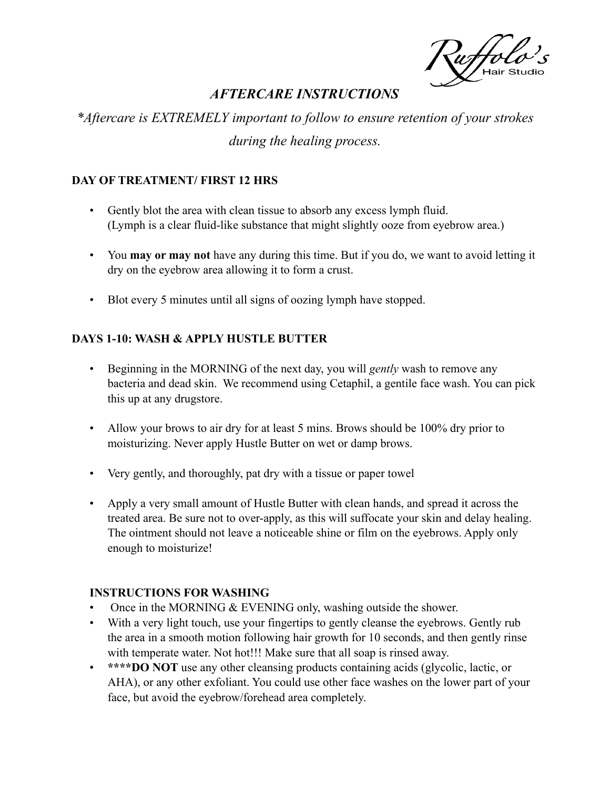uffolo

# *AFTERCARE INSTRUCTIONS*

*\*Aftercare is EXTREMELY important to follow to ensure retention of your strokes during the healing process.*

### **DAY OF TREATMENT/ FIRST 12 HRS**

- Gently blot the area with clean tissue to absorb any excess lymph fluid. (Lymph is a clear fluid-like substance that might slightly ooze from eyebrow area.)
- You **may or may not** have any during this time. But if you do, we want to avoid letting it dry on the eyebrow area allowing it to form a crust.
- Blot every 5 minutes until all signs of oozing lymph have stopped.

### **DAYS 1-10: WASH & APPLY HUSTLE BUTTER**

- Beginning in the MORNING of the next day, you will *gently* wash to remove any bacteria and dead skin. We recommend using Cetaphil, a gentile face wash. You can pick this up at any drugstore.
- Allow your brows to air dry for at least 5 mins. Brows should be 100% dry prior to moisturizing. Never apply Hustle Butter on wet or damp brows.
- Very gently, and thoroughly, pat dry with a tissue or paper towel
- Apply a very small amount of Hustle Butter with clean hands, and spread it across the treated area. Be sure not to over-apply, as this will suffocate your skin and delay healing. The ointment should not leave a noticeable shine or film on the eyebrows. Apply only enough to moisturize!

#### **INSTRUCTIONS FOR WASHING**

- Once in the MORNING & EVENING only, washing outside the shower.
- With a very light touch, use your fingertips to gently cleanse the eyebrows. Gently rub the area in a smooth motion following hair growth for 10 seconds, and then gently rinse with temperate water. Not hot!!! Make sure that all soap is rinsed away.
- **\*\*\*\*DO NOT** use any other cleansing products containing acids (glycolic, lactic, or AHA), or any other exfoliant. You could use other face washes on the lower part of your face, but avoid the eyebrow/forehead area completely.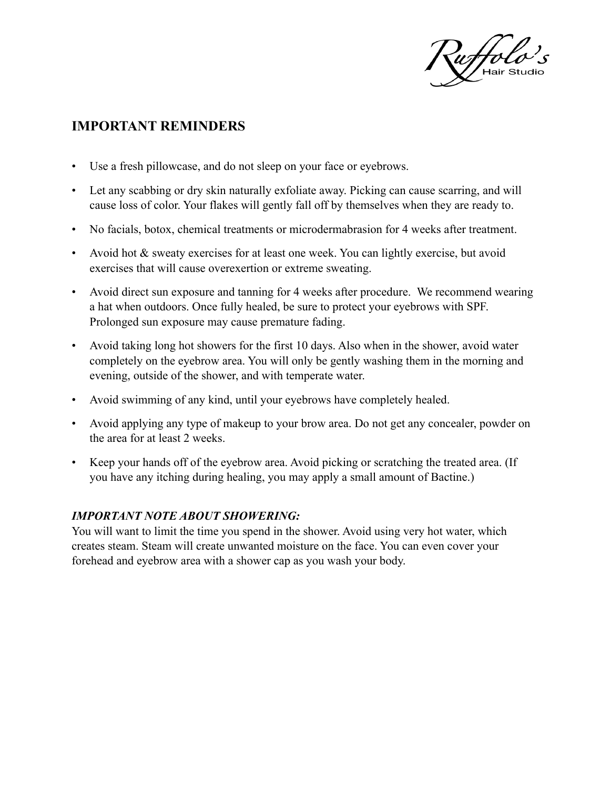uffolo

## **IMPORTANT REMINDERS**

- Use a fresh pillowcase, and do not sleep on your face or eyebrows.
- Let any scabbing or dry skin naturally exfoliate away. Picking can cause scarring, and will cause loss of color. Your flakes will gently fall off by themselves when they are ready to.
- No facials, botox, chemical treatments or microdermabrasion for 4 weeks after treatment.
- Avoid hot & sweaty exercises for at least one week. You can lightly exercise, but avoid exercises that will cause overexertion or extreme sweating.
- Avoid direct sun exposure and tanning for 4 weeks after procedure. We recommend wearing a hat when outdoors. Once fully healed, be sure to protect your eyebrows with SPF. Prolonged sun exposure may cause premature fading.
- Avoid taking long hot showers for the first 10 days. Also when in the shower, avoid water completely on the eyebrow area. You will only be gently washing them in the morning and evening, outside of the shower, and with temperate water.
- Avoid swimming of any kind, until your eyebrows have completely healed.
- Avoid applying any type of makeup to your brow area. Do not get any concealer, powder on the area for at least 2 weeks.
- Keep your hands off of the eyebrow area. Avoid picking or scratching the treated area. (If you have any itching during healing, you may apply a small amount of Bactine.)

#### *IMPORTANT NOTE ABOUT SHOWERING:*

You will want to limit the time you spend in the shower. Avoid using very hot water, which creates steam. Steam will create unwanted moisture on the face. You can even cover your forehead and eyebrow area with a shower cap as you wash your body.